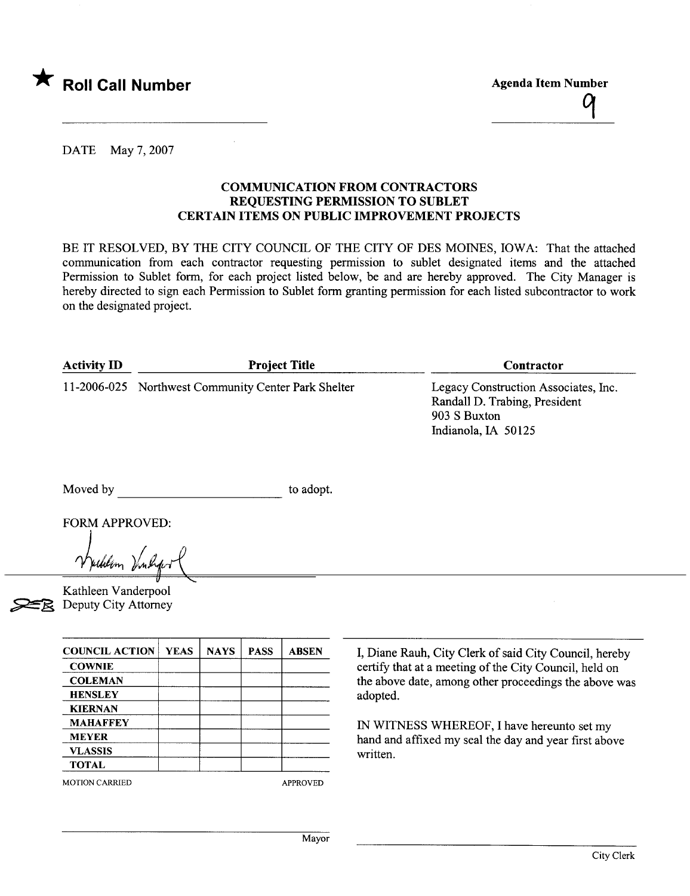

 $\frac{q}{\sqrt{q}}$ 

DATE May 7,2007

## COMMUNCATION FROM CONTRACTORS REQUESTING PERMISSION TO SUBLET CERTAIN ITEMS ON PUBLIC IMPROVEMENT PROJECTS

BE IT RESOLVED, BY THE CITY COUNCIL OF THE CITY OF DES MOINES, IOWA: That the attached communication from each contractor requesting permission to sublet designated items and the attached Permission to Sublet form, for each project listed below, be and are hereby approved. The City Manager is hereby directed to sign each Permission to Sublet form granting permission for each listed subcontractor to work on the designated project.

| <b>Activity ID</b> | <b>Project Title</b>                                | Contractor                                                                                                   |  |
|--------------------|-----------------------------------------------------|--------------------------------------------------------------------------------------------------------------|--|
|                    | 11-2006-025 Northwest Community Center Park Shelter | Legacy Construction Associates, Inc.<br>Randall D. Trabing, President<br>903 S Buxton<br>Indianola, IA 50125 |  |

Moved by to adopt.

FORM APPROVED:

Unlin  $\mathcal{V}$ nl

Kathleen Vanderpool Deputy City Attorney

| <b>COUNCIL ACTION</b> | <b>YEAS</b> | <b>NAYS</b> | <b>PASS</b> | <b>ABSEN</b>    |
|-----------------------|-------------|-------------|-------------|-----------------|
| <b>COWNIE</b>         |             |             |             |                 |
| <b>COLEMAN</b>        |             |             |             |                 |
| <b>HENSLEY</b>        |             |             |             |                 |
| <b>KIERNAN</b>        |             |             |             |                 |
| <b>MAHAFFEY</b>       |             |             |             |                 |
| <b>MEYER</b>          |             |             |             |                 |
| <b>VLASSIS</b>        |             |             |             |                 |
| <b>TOTAL</b>          |             |             |             |                 |
| <b>MOTION CARRIED</b> |             |             |             | <b>APPROVED</b> |

I, Diane Rauh, City Clerk of said City Council, hereby certify that at a meeting of the City Council, held on the above date, among other proceedings the above was adopted.

IN WITNSS WHEREOF, I have hereunto set my hand and affxed my seal the day and year first above written.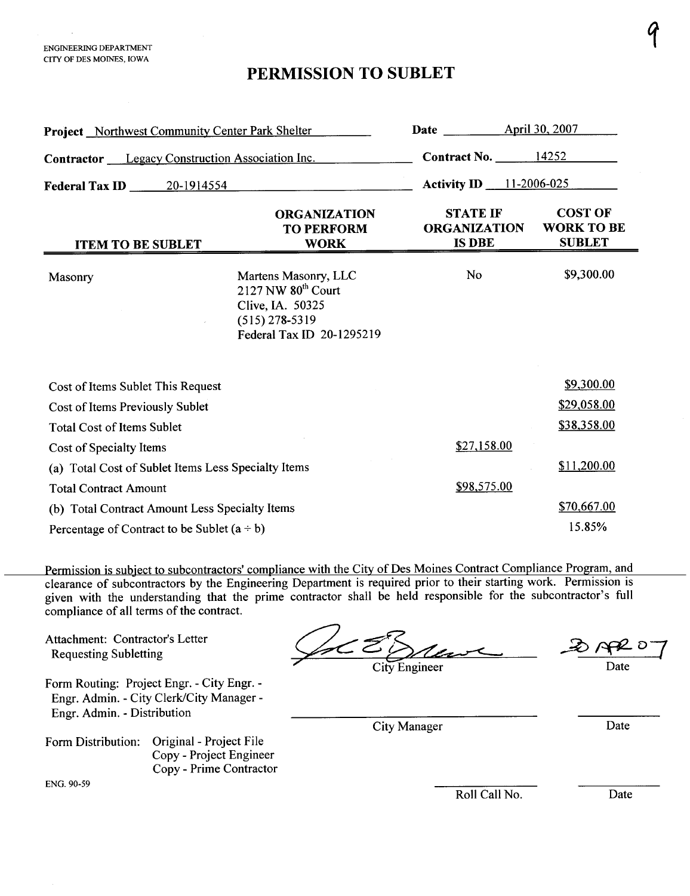## PERMISSION TO SUBLET

| <b>Project</b> Northwest Community Center Park Shelter                                                                                                                                                                                                                                                                                                 | <b>Date</b>                                                                                                         | April 30, 2007                                          |                                                      |
|--------------------------------------------------------------------------------------------------------------------------------------------------------------------------------------------------------------------------------------------------------------------------------------------------------------------------------------------------------|---------------------------------------------------------------------------------------------------------------------|---------------------------------------------------------|------------------------------------------------------|
| <b>Contractor</b> Legacy Construction Association Inc.                                                                                                                                                                                                                                                                                                 | <b>Contract No. 4252</b>                                                                                            |                                                         |                                                      |
| Federal Tax ID 20-1914554                                                                                                                                                                                                                                                                                                                              |                                                                                                                     | <b>Activity ID</b> 11-2006-025                          |                                                      |
| <b>ITEM TO BE SUBLET</b>                                                                                                                                                                                                                                                                                                                               | <b>ORGANIZATION</b><br><b>TO PERFORM</b><br><b>WORK</b>                                                             | <b>STATE IF</b><br><b>ORGANIZATION</b><br><b>IS DBE</b> | <b>COST OF</b><br><b>WORK TO BE</b><br><b>SUBLET</b> |
| Masonry                                                                                                                                                                                                                                                                                                                                                | Martens Masonry, LLC<br>$2127$ NW $80th$ Court<br>Clive, IA. 50325<br>$(515)$ 278-5319<br>Federal Tax ID 20-1295219 | <b>No</b>                                               | \$9,300.00                                           |
| Cost of Items Sublet This Request                                                                                                                                                                                                                                                                                                                      |                                                                                                                     |                                                         | \$9,300.00                                           |
| Cost of Items Previously Sublet                                                                                                                                                                                                                                                                                                                        |                                                                                                                     | \$29,058.00                                             |                                                      |
| <b>Total Cost of Items Sublet</b>                                                                                                                                                                                                                                                                                                                      |                                                                                                                     | \$38,358.00                                             |                                                      |
| Cost of Specialty Items                                                                                                                                                                                                                                                                                                                                |                                                                                                                     | \$27,158.00                                             |                                                      |
| (a) Total Cost of Sublet Items Less Specialty Items                                                                                                                                                                                                                                                                                                    |                                                                                                                     | \$11,200.00                                             |                                                      |
| <b>Total Contract Amount</b>                                                                                                                                                                                                                                                                                                                           | \$98,575.00                                                                                                         |                                                         |                                                      |
| (b) Total Contract Amount Less Specialty Items                                                                                                                                                                                                                                                                                                         |                                                                                                                     | \$70,667.00                                             |                                                      |
| Percentage of Contract to be Sublet $(a \div b)$                                                                                                                                                                                                                                                                                                       |                                                                                                                     | 15.85%                                                  |                                                      |
| Permission is subject to subcontractors' compliance with the City of Des Moines Contract Compliance Program, and<br>clearance of subcontractors by the Engineering Department is required prior to their starting work. Permission is<br>given with the understanding that the prime contractor shall be held responsible for the subcontractor's full |                                                                                                                     |                                                         |                                                      |

compliance of all terms of the contract.

Attachment: Contractor's Letter

Form Routing: Project Engr. - City Engr. - Engr. Admin. - City Clerk/City Manager-Engr. Admin. - Distribution

Form Distribution: Original - Project File Copy - Project Engineer Copy - Prime Contractor

ENG. 90-59

ompliance of all terms of the contract.<br>
Attachment: Contractor's Letter<br>
Requesting Subletting<br>
City Engineer<br>
City Engineer

 $207$ 

q

Date

City Manager Date

Roll Call No. Date